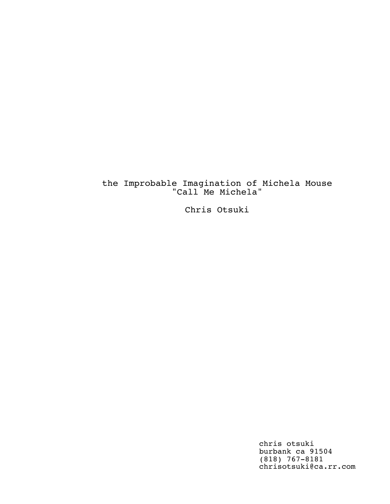# the Improbable Imagination of Michela Mouse "Call Me Michela"

Chris Otsuki

chris otsuki burbank ca 91504 (818) 767-8181 chrisotsuki@ca.rr.com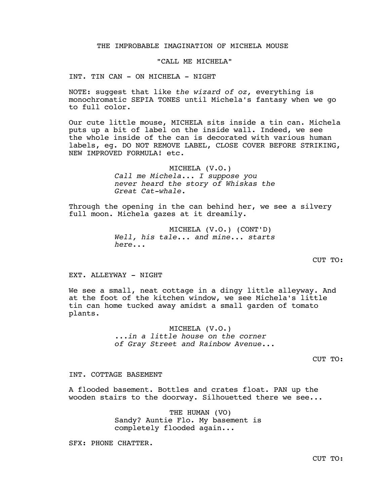# THE IMPROBABLE IMAGINATION OF MICHELA MOUSE

# "CALL ME MICHELA"

INT. TIN CAN - ON MICHELA - NIGHT

NOTE: suggest that like *the wizard of oz,* everything is monochromatic SEPIA TONES until Michela's fantasy when we go to full color.

Our cute little mouse, MICHELA sits inside a tin can. Michela puts up a bit of label on the inside wall. Indeed, we see the whole inside of the can is decorated with various human labels, eg. DO NOT REMOVE LABEL, CLOSE COVER BEFORE STRIKING, NEW IMPROVED FORMULA! etc.

> MICHELA (V.O.) *Call me Michela... I suppose you never heard the story of Whiskas the Great Cat-whale.*

Through the opening in the can behind her, we see a silvery full moon. Michela gazes at it dreamily.

> MICHELA (V.O.) (CONT'D) *Well, his tale... and mine... starts here...*

> > CUT TO:

### EXT. ALLEYWAY - NIGHT

We see a small, neat cottage in a dingy little alleyway. And at the foot of the kitchen window, we see Michela's little tin can home tucked away amidst a small garden of tomato plants.

> MICHELA (V.O.) *...in a little house on the corner of Gray Street and Rainbow Avenue...*

> > CUT TO:

### INT. COTTAGE BASEMENT

A flooded basement. Bottles and crates float. PAN up the wooden stairs to the doorway. Silhouetted there we see...

> THE HUMAN (VO) Sandy? Auntie Flo. My basement is completely flooded again...

SFX: PHONE CHATTER.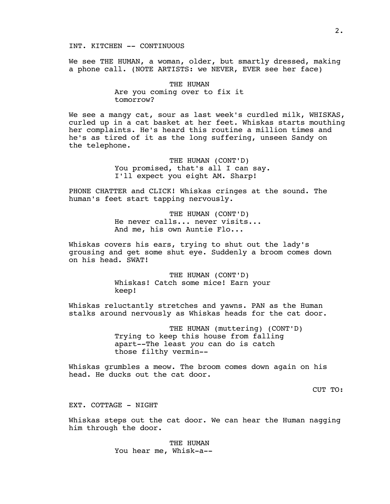### INT. KITCHEN -- CONTINUOUS

We see THE HUMAN, a woman, older, but smartly dressed, making a phone call. (NOTE ARTISTS: we NEVER, EVER see her face)

# THE HUMAN Are you coming over to fix it tomorrow?

We see a mangy cat, sour as last week's curdled milk, WHISKAS, curled up in a cat basket at her feet. Whiskas starts mouthing her complaints. He's heard this routine a million times and he's as tired of it as the long suffering, unseen Sandy on the telephone.

> THE HUMAN (CONT'D) You promised, that's all I can say. I'll expect you eight AM. Sharp!

PHONE CHATTER and CLICK! Whiskas cringes at the sound. The human's feet start tapping nervously.

> THE HUMAN (CONT'D) He never calls... never visits... And me, his own Auntie Flo...

Whiskas covers his ears, trying to shut out the lady's grousing and get some shut eye. Suddenly a broom comes down on his head. SWAT!

> THE HUMAN (CONT'D) Whiskas! Catch some mice! Earn your keep!

Whiskas reluctantly stretches and yawns. PAN as the Human stalks around nervously as Whiskas heads for the cat door.

> THE HUMAN (muttering) (CONT'D) Trying to keep this house from falling apart--The least *you* can do is catch those filthy vermin--

Whiskas grumbles a meow. The broom comes down again on his head. He ducks out the cat door.

CUT TO:

EXT. COTTAGE - NIGHT

Whiskas steps out the cat door. We can hear the Human nagging him through the door.

> THE HUMAN You hear me, Whisk-a--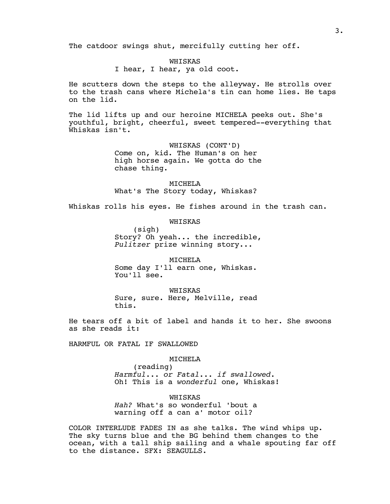The catdoor swings shut, mercifully cutting her off.

### WHISKAS

I hear, I hear, ya old coot.

He scutters down the steps to the alleyway. He strolls over to the trash cans where Michela's tin can home lies. He taps on the lid.

The lid lifts up and our heroine MICHELA peeks out. She's youthful, bright, cheerful, sweet tempered--everything that Whiskas isn't.

> WHISKAS (CONT'D) Come on, kid. The Human's on her high horse again. We gotta do the chase thing.

> > MTCHELA

What's The Story today, Whiskas?

Whiskas rolls his eyes. He fishes around in the trash can.

WHISKAS

(sigh) Story? Oh yeah... the incredible, *Pulitzer* prize winning story...

MICHELA Some day I'll earn one, Whiskas. You'll see.

WHISKAS Sure, sure. Here, Melville, read this.

He tears off a bit of label and hands it to her. She swoons as she reads it:

HARMFUL OR FATAL IF SWALLOWED

#### MICHELA

(reading) *Harmful... or Fatal... if swallowed.* Oh! This is a *wonderful* one, Whiskas!

WHISKAS *Hah?* What's so wonderful 'bout a warning off a can a' motor oil?

COLOR INTERLUDE FADES IN as she talks. The wind whips up. The sky turns blue and the BG behind them changes to the ocean, with a tall ship sailing and a whale spouting far off to the distance. SFX: SEAGULLS.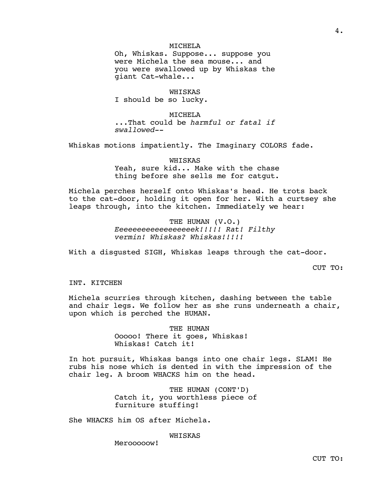### MTCHELA

Oh, Whiskas. Suppose... suppose you were Michela the sea mouse... and you were swallowed up by Whiskas the giant Cat-whale...

WHISKAS I should be so lucky.

MTCHELA ...That could be *harmful or fatal if swallowed--* 

Whiskas motions impatiently. The Imaginary COLORS fade.

WHISKAS Yeah, sure kid... Make with the chase thing before she sells me for catgut.

Michela perches herself onto Whiskas's head. He trots back to the cat-door, holding it open for her. With a curtsey she leaps through, into the kitchen. Immediately we hear:

> THE HUMAN (V.O.) *Eeeeeeeeeeeeeeeeeek!!!!! Rat! Filthy vermin! Whiskas? Whiskas!!!!!*

With a disgusted SIGH, Whiskas leaps through the cat-door.

CUT TO:

INT. KITCHEN

Michela scurries through kitchen, dashing between the table and chair legs. We follow her as she runs underneath a chair, upon which is perched the HUMAN.

> THE HUMAN Ooooo! There it goes, Whiskas! Whiskas! Catch it!

In hot pursuit, Whiskas bangs into one chair legs. SLAM! He rubs his nose which is dented in with the impression of the chair leg. A broom WHACKS him on the head.

> THE HUMAN (CONT'D) Catch it, you worthless piece of furniture stuffing!

She WHACKS him OS after Michela.

WHISKAS

Merooooow!

4.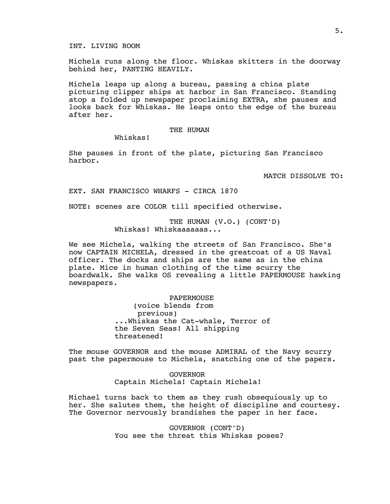### INT. LIVING ROOM

Michela runs along the floor. Whiskas skitters in the doorway behind her, PANTING HEAVILY.

Michela leaps up along a bureau, passing a china plate picturing clipper ships at harbor in San Francisco. Standing atop a folded up newspaper proclaiming EXTRA, she pauses and looks back for Whiskas. He leaps onto the edge of the bureau after her.

## THE HUMAN

Whiskas!

She pauses in front of the plate, picturing San Francisco harbor.

MATCH DISSOLVE TO:

EXT. SAN FRANCISCO WHARFS - CIRCA 1870

NOTE: scenes are COLOR till specified otherwise.

THE HUMAN (V.O.) (CONT'D) Whiskas! Whiskaaaaaas...

We see Michela, walking the streets of San Francisco. She's now CAPTAIN MICHELA, dressed in the greatcoat of a US Naval officer. The docks and ships are the same as in the china plate. Mice in human clothing of the time scurry the boardwalk. She walks OS revealing a little PAPERMOUSE hawking newspapers.

> PAPERMOUSE (voice blends from previous) ...Whiskas the Cat-whale, Terror of the Seven Seas! All shipping threatened!

The mouse GOVERNOR and the mouse ADMIRAL of the Navy scurry past the papermouse to Michela, snatching one of the papers.

> GOVERNOR Captain Michela! Captain Michela!

Michael turns back to them as they rush obsequiously up to her. She salutes them, the height of discipline and courtesy. The Governor nervously brandishes the paper in her face.

> GOVERNOR (CONT'D) You see the threat this Whiskas poses?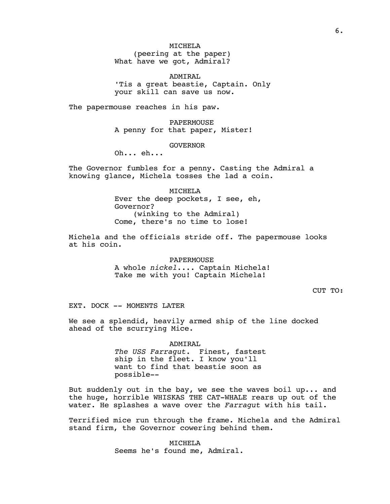MICHELA (peering at the paper) What have we got, Admiral?

ADMIRAL 'Tis a great beastie, Captain. Only your skill can save us now.

The papermouse reaches in his paw.

PAPERMOUSE A penny for that paper, Mister!

GOVERNOR

Oh... eh...

The Governor fumbles for a penny. Casting the Admiral a knowing glance, Michela tosses the lad a coin.

> MICHELA Ever the deep pockets, I see, eh, Governor? (winking to the Admiral) Come, there's no time to lose!

Michela and the officials stride off. The papermouse looks at his coin.

PAPERMOUSE

A whole *nickel....* Captain Michela! Take me with you! Captain Michela!

CUT TO:

EXT. DOCK -- MOMENTS LATER

We see a splendid, heavily armed ship of the line docked ahead of the scurrying Mice.

> ADMIRAL *The USS Farragut.* Finest, fastest ship in the fleet. I know you'll want to find that beastie soon as possible--

But suddenly out in the bay, we see the waves boil up... and the huge, horrible WHISKAS THE CAT-WHALE rears up out of the water. He splashes a wave over the *Farragut* with his tail.

Terrified mice run through the frame. Michela and the Admiral stand firm, the Governor cowering behind them.

> MICHELA Seems he's found me, Admiral.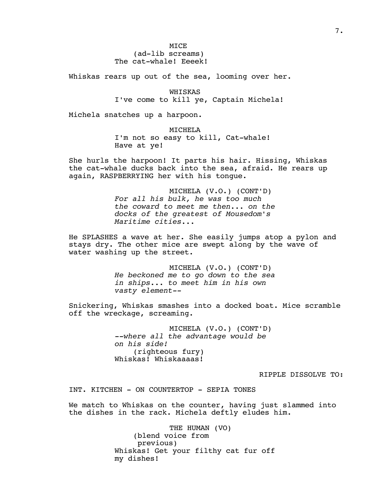Whiskas rears up out of the sea, looming over her.

WHISKAS I've come to kill ye, Captain Michela!

Michela snatches up a harpoon.

MICHELA I'm not so easy to kill, Cat-whale! Have at ye!

She hurls the harpoon! It parts his hair. Hissing, Whiskas the cat-whale ducks back into the sea, afraid. He rears up again, RASPBERRYING her with his tongue.

> MICHELA (V.O.) (CONT'D) *For all his bulk, he was too much the coward to meet me then... on the docks of the greatest of Mousedom's Maritime cities...*

He SPLASHES a wave at her. She easily jumps atop a pylon and stays dry. The other mice are swept along by the wave of water washing up the street.

> MICHELA (V.O.) (CONT'D) *He beckoned me to go down to the sea in ships... to meet him in his own vasty element--*

Snickering, Whiskas smashes into a docked boat. Mice scramble off the wreckage, screaming.

> MICHELA (V.O.) (CONT'D) *--where all the advantage would be on his side!* (righteous fury) Whiskas! Whiskaaaas!

### RIPPLE DISSOLVE TO:

INT. KITCHEN - ON COUNTERTOP - SEPIA TONES

We match to Whiskas on the counter, having just slammed into the dishes in the rack. Michela deftly eludes him.

> THE HUMAN (VO) (blend voice from previous) Whiskas! Get your filthy cat fur off my dishes!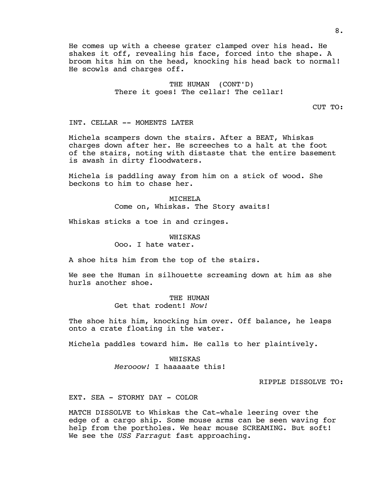He comes up with a cheese grater clamped over his head. He shakes it off, revealing his face, forced into the shape. A broom hits him on the head, knocking his head back to normal! He scowls and charges off.

### THE HUMAN (CONT'D) There it goes! The cellar! The cellar!

CUT TO:

### INT. CELLAR -- MOMENTS LATER

Michela scampers down the stairs. After a BEAT, Whiskas charges down after her. He screeches to a halt at the foot of the stairs, noting with distaste that the entire basement is awash in dirty floodwaters.

Michela is paddling away from him on a stick of wood. She beckons to him to chase her.

> MICHELA Come on, Whiskas. The Story awaits!

Whiskas sticks a toe in and cringes.

### WHISKAS

Ooo. I hate water.

A shoe hits him from the top of the stairs.

We see the Human in silhouette screaming down at him as she hurls another shoe.

# THE HUMAN

Get that rodent! *Now!*

The shoe hits him, knocking him over. Off balance, he leaps onto a crate floating in the water.

Michela paddles toward him. He calls to her plaintively.

WHISKAS *Merooow!* I haaaaate this!

RIPPLE DISSOLVE TO:

EXT. SEA - STORMY DAY - COLOR

MATCH DISSOLVE to Whiskas the Cat-whale leering over the edge of a cargo ship. Some mouse arms can be seen waving for help from the portholes. We hear mouse SCREAMING. But soft! We see the *USS Farragut* fast approaching.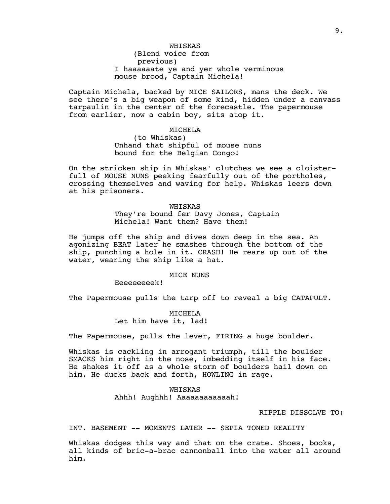# WHISKAS (Blend voice from previous) I haaaaaate ye and yer whole verminous mouse brood, Captain Michela!

Captain Michela, backed by MICE SAILORS, mans the deck. We see there's a big weapon of some kind, hidden under a canvass tarpaulin in the center of the forecastle. The papermouse from earlier, now a cabin boy, sits atop it.

## MICHELA

(to Whiskas) Unhand that shipful of mouse nuns bound for the Belgian Congo!

On the stricken ship in Whiskas' clutches we see a cloisterfull of MOUSE NUNS peeking fearfully out of the portholes, crossing themselves and waving for help. Whiskas leers down at his prisoners.

### WHISKAS

They're bound fer Davy Jones, Captain Michela! Want them? Have them!

He jumps off the ship and dives down deep in the sea. An agonizing BEAT later he smashes through the bottom of the ship, punching a hole in it. CRASH! He rears up out of the water, wearing the ship like a hat.

# MICE NUNS

Eeeeeeeeek!

The Papermouse pulls the tarp off to reveal a big CATAPULT.

# MICHELA Let him have it, lad!

The Papermouse, pulls the lever, FIRING a huge boulder.

Whiskas is cackling in arrogant triumph, till the boulder SMACKS him right in the nose, imbedding itself in his face. He shakes it off as a whole storm of boulders hail down on him. He ducks back and forth, HOWLING in rage.

### WHISKAS

Ahhh! Aughhh! Aaaaaaaaaaaah!

RIPPLE DISSOLVE TO:

INT. BASEMENT -- MOMENTS LATER -- SEPIA TONED REALITY

Whiskas dodges this way and that on the crate. Shoes, books, all kinds of bric-a-brac cannonball into the water all around him.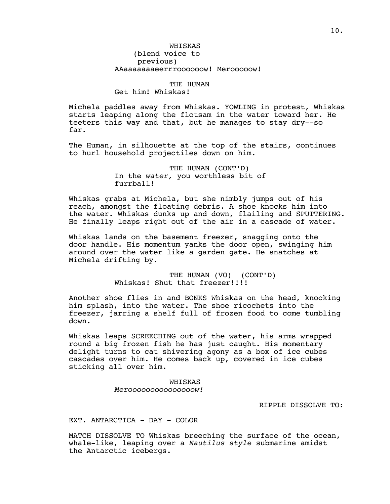# THE HUMAN

Get him! Whiskas!

Michela paddles away from Whiskas. YOWLING in protest, Whiskas starts leaping along the flotsam in the water toward her. He teeters this way and that, but he manages to stay dry--so far.

The Human, in silhouette at the top of the stairs, continues to hurl household projectiles down on him.

> THE HUMAN (CONT'D) In the *water,* you worthless bit of furrball!

Whiskas grabs at Michela, but she nimbly jumps out of his reach, amongst the floating debris. A shoe knocks him into the water. Whiskas dunks up and down, flailing and SPUTTERING. He finally leaps right out of the air in a cascade of water.

Whiskas lands on the basement freezer, snagging onto the door handle. His momentum yanks the door open, swinging him around over the water like a garden gate. He snatches at Michela drifting by.

> THE HUMAN (VO) (CONT'D) Whiskas! Shut that freezer!!!!

Another shoe flies in and BONKS Whiskas on the head, knocking him splash, into the water. The shoe ricochets into the freezer, jarring a shelf full of frozen food to come tumbling down.

Whiskas leaps SCREECHING out of the water, his arms wrapped round a big frozen fish he has just caught. His momentary delight turns to cat shivering agony as a box of ice cubes cascades over him. He comes back up, covered in ice cubes sticking all over him.

> WHISKAS *Merooooooooooooooow!*

> > RIPPLE DISSOLVE TO:

EXT. ANTARCTICA - DAY - COLOR

MATCH DISSOLVE TO Whiskas breeching the surface of the ocean, whale-like, leaping over a *Nautilus style* submarine amidst the Antarctic icebergs.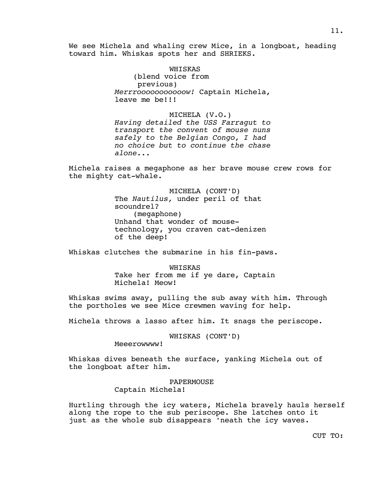We see Michela and whaling crew Mice, in a longboat, heading toward him. Whiskas spots her and SHRIEKS.

> WHISKAS (blend voice from previous) *Merrrooooooooooow!* Captain Michela, leave me be!!!

### MICHELA (V.O.)

*Having detailed the USS Farragut to transport the convent of mouse nuns safely to the Belgian Congo, I had no choice but to continue the chase alone...*

Michela raises a megaphone as her brave mouse crew rows for the mighty cat-whale.

> MICHELA (CONT'D) The *Nautilus,* under peril of that scoundrel? (megaphone) Unhand that wonder of mousetechnology, you craven cat-denizen of the deep!

Whiskas clutches the submarine in his fin-paws.

WHISKAS Take her from me if ye dare, Captain Michela! Meow!

Whiskas swims away, pulling the sub away with him. Through the portholes we see Mice crewmen waving for help.

Michela throws a lasso after him. It snags the periscope.

WHISKAS (CONT'D)

Meeerowwww!

Whiskas dives beneath the surface, yanking Michela out of the longboat after him.

# PAPERMOUSE

Captain Michela!

Hurtling through the icy waters, Michela bravely hauls herself along the rope to the sub periscope. She latches onto it just as the whole sub disappears 'neath the icy waves.

CUT TO: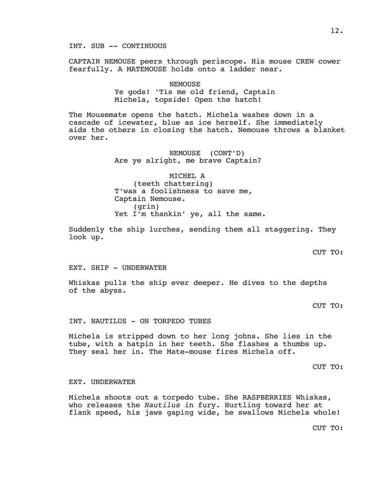INT. SUB -- CONTINUOUS

CAPTAIN NEMOUSE peers through periscope. His mouse CREW cower fearfully. A MATEMOUSE holds onto a ladder near.

> NEMOUSE Ye gods! 'Tis me old friend, Captain Michela, topside! Open the hatch!

The Mousemate opens the hatch. Michela washes down in a cascade of icewater, blue as ice herself. She immediately aids the others in closing the hatch. Nemouse throws a blanket over her.

> NEMOUSE (CONT'D) Are ye alright, me brave Captain?

MICHEL A (teeth chattering) T'was a foolishness to save me, Captain Nemouse. (grin) Yet I'm thankin' ye, all the same.

Suddenly the ship lurches, sending them all staggering. They look up.

CUT TO:

EXT. SHIP - UNDERWATER

Whiskas pulls the ship ever deeper. He dives to the depths of the abyss.

CUT TO:

INT. NAUTILUS - ON TORPEDO TUBES

Michela is stripped down to her long johns. She lies in the tube, with a hatpin in her teeth. She flashes a thumbs up. They seal her in. The Mate-mouse fires Michela off.

CUT TO:

EXT. UNDERWATER

Michela shoots out a torpedo tube. She RASPBERRIES Whiskas, who releases the *Nautilus* in fury. Hurtling toward her at flank speed, his jaws gaping wide, he swallows Michela whole!

CUT TO: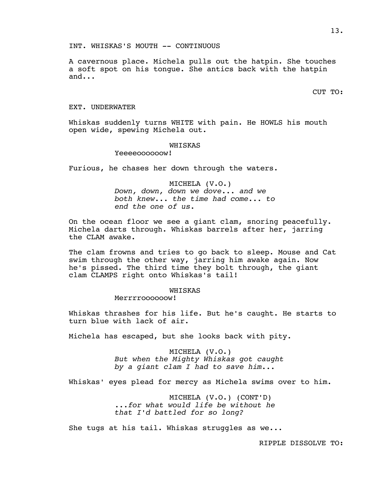A cavernous place. Michela pulls out the hatpin. She touches a soft spot on his tongue. She antics back with the hatpin and...

CUT TO:

#### EXT. UNDERWATER

Whiskas suddenly turns WHITE with pain. He HOWLS his mouth open wide, spewing Michela out.

#### WHISKAS

#### Yeeeeoooooow!

Furious, he chases her down through the waters.

MICHELA (V.O.) *Down, down, down we dove... and we both knew... the time had come... to end the one of us.*

On the ocean floor we see a giant clam, snoring peacefully. Michela darts through. Whiskas barrels after her, jarring the CLAM awake.

The clam frowns and tries to go back to sleep. Mouse and Cat swim through the other way, jarring him awake again. Now he's pissed. The third time they bolt through, the giant clam CLAMPS right onto Whiskas's tail!

#### WHISKAS

### Merrrroooooow!

Whiskas thrashes for his life. But he's caught. He starts to turn blue with lack of air.

Michela has escaped, but she looks back with pity.

MICHELA (V.O.) *But when the Mighty Whiskas got caught by a giant clam I had to save him...*

Whiskas' eyes plead for mercy as Michela swims over to him.

MICHELA (V.O.) (CONT'D) *...for what would life be without he that I'd battled for so long?*

She tugs at his tail. Whiskas struggles as we...

RIPPLE DISSOLVE TO: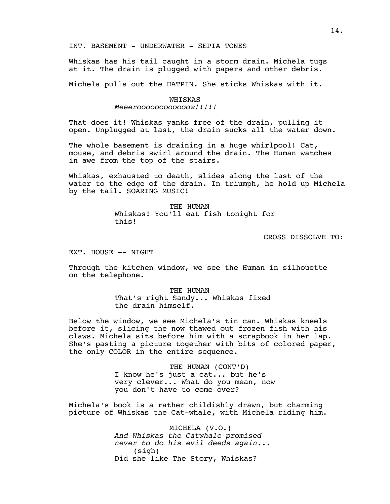### INT. BASEMENT - UNDERWATER - SEPIA TONES

Whiskas has his tail caught in a storm drain. Michela tugs at it. The drain is plugged with papers and other debris.

Michela pulls out the HATPIN. She sticks Whiskas with it.

### WHISKAS

*Meeeroooooooooooow!!!!!*

That does it! Whiskas yanks free of the drain, pulling it open. Unplugged at last, the drain sucks all the water down.

The whole basement is draining in a huge whirlpool! Cat, mouse, and debris swirl around the drain. The Human watches in awe from the top of the stairs.

Whiskas, exhausted to death, slides along the last of the water to the edge of the drain. In triumph, he hold up Michela by the tail. SOARING MUSIC!

> THE HUMAN Whiskas! You'll eat fish tonight for this!

> > CROSS DISSOLVE TO:

EXT. HOUSE -- NIGHT

Through the kitchen window, we see the Human in silhouette on the telephone.

> THE HUMAN That's right Sandy... Whiskas fixed the drain himself.

Below the window, we see Michela's tin can. Whiskas kneels before it, slicing the now thawed out frozen fish with his claws. Michela sits before him with a scrapbook in her lap. She's pasting a picture together with bits of colored paper, the only COLOR in the entire sequence.

> THE HUMAN (CONT'D) I know he's just a cat... but he's very clever... What do you mean, now you don't have to come over?

Michela's book is a rather childishly drawn, but charming picture of Whiskas the Cat-whale, with Michela riding him.

> MICHELA (V.O.) *And Whiskas the Catwhale promised never to do his evil deeds again...* (sigh) Did she like The Story, Whiskas?